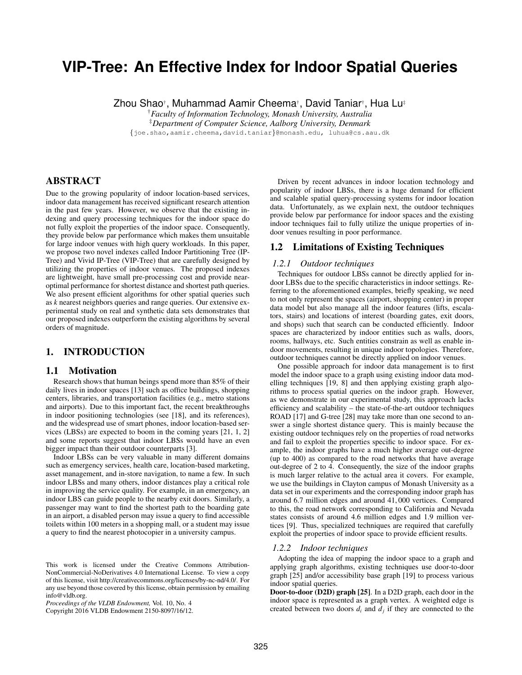# **VIP-Tree: An Effective Index for Indoor Spatial Queries**

Zhou Shao†, Muhammad Aamir Cheema†, David Taniar†, Hua Lu‡

†*Faculty of Information Technology, Monash University, Australia*

‡*Department of Computer Science, Aalborg University, Denmark*

*{*joe.shao,aamir.cheema,david.taniar*}*@monash.edu, luhua@cs.aau.dk

### ABSTRACT

Due to the growing popularity of indoor location-based services, indoor data management has received significant research attention in the past few years. However, we observe that the existing indexing and query processing techniques for the indoor space do not fully exploit the properties of the indoor space. Consequently, they provide below par performance which makes them unsuitable for large indoor venues with high query workloads. In this paper, we propose two novel indexes called Indoor Partitioning Tree (IP-Tree) and Vivid IP-Tree (VIP-Tree) that are carefully designed by utilizing the properties of indoor venues. The proposed indexes are lightweight, have small pre-processing cost and provide nearoptimal performance for shortest distance and shortest path queries. We also present efficient algorithms for other spatial queries such as *k* nearest neighbors queries and range queries. Our extensive experimental study on real and synthetic data sets demonstrates that our proposed indexes outperform the existing algorithms by several orders of magnitude.

### 1. INTRODUCTION

### 1.1 Motivation

Research shows that human beings spend more than 85% of their daily lives in indoor spaces [13] such as office buildings, shopping centers, libraries, and transportation facilities (e.g., metro stations and airports). Due to this important fact, the recent breakthroughs in indoor positioning technologies (see [18], and its references), and the widespread use of smart phones, indoor location-based services (LBSs) are expected to boom in the coming years [21, 1, 2] and some reports suggest that indoor LBSs would have an even bigger impact than their outdoor counterparts [3].

Indoor LBSs can be very valuable in many different domains such as emergency services, health care, location-based marketing, asset management, and in-store navigation, to name a few. In such indoor LBSs and many others, indoor distances play a critical role in improving the service quality. For example, in an emergency, an indoor LBS can guide people to the nearby exit doors. Similarly, a passenger may want to find the shortest path to the boarding gate in an airport, a disabled person may issue a query to find accessible toilets within 100 meters in a shopping mall, or a student may issue a query to find the nearest photocopier in a university campus.

Copyright 2016 VLDB Endowment 2150-8097/16/12.

Driven by recent advances in indoor location technology and popularity of indoor LBSs, there is a huge demand for efficient and scalable spatial query-processing systems for indoor location data. Unfortunately, as we explain next, the outdoor techniques provide below par performance for indoor spaces and the existing indoor techniques fail to fully utilize the unique properties of indoor venues resulting in poor performance.

## 1.2 Limitations of Existing Techniques

### *1.2.1 Outdoor techniques*

Techniques for outdoor LBSs cannot be directly applied for indoor LBSs due to the specific characteristics in indoor settings. Referring to the aforementioned examples, briefly speaking, we need to not only represent the spaces (airport, shopping center) in proper data model but also manage all the indoor features (lifts, escalators, stairs) and locations of interest (boarding gates, exit doors, and shops) such that search can be conducted efficiently. Indoor spaces are characterized by indoor entities such as walls, doors, rooms, hallways, etc. Such entities constrain as well as enable indoor movements, resulting in unique indoor topologies. Therefore, outdoor techniques cannot be directly applied on indoor venues.

One possible approach for indoor data management is to first model the indoor space to a graph using existing indoor data modelling techniques [19, 8] and then applying existing graph algorithms to process spatial queries on the indoor graph. However, as we demonstrate in our experimental study, this approach lacks efficiency and scalability – the state-of-the-art outdoor techniques ROAD [17] and G-tree [28] may take more than one second to answer a single shortest distance query. This is mainly because the existing outdoor techniques rely on the properties of road networks and fail to exploit the properties specific to indoor space. For example, the indoor graphs have a much higher average out-degree (up to 400) as compared to the road networks that have average out-degree of 2 to 4. Consequently, the size of the indoor graphs is much larger relative to the actual area it covers. For example, we use the buildings in Clayton campus of Monash University as a data set in our experiments and the corresponding indoor graph has around 6.7 million edges and around 41, 000 vertices. Compared to this, the road network corresponding to California and Nevada states consists of around 4.6 million edges and 1.9 million vertices [9]. Thus, specialized techniques are required that carefully exploit the properties of indoor space to provide efficient results.

### *1.2.2 Indoor techniques*

Adopting the idea of mapping the indoor space to a graph and applying graph algorithms, existing techniques use door-to-door graph [25] and/or accessibility base graph [19] to process various indoor spatial queries.

Door-to-door (D2D) graph [25]. In a D2D graph, each door in the indoor space is represented as a graph vertex. A weighted edge is created between two doors  $d_i$  and  $d_j$  if they are connected to the

This work is licensed under the Creative Commons Attribution-NonCommercial-NoDerivatives 4.0 International License. To view a copy of this license, visit http://creativecommons.org/licenses/by-nc-nd/4.0/. For any use beyond those covered by this license, obtain permission by emailing info@vldb.org.

*Proceedings of the VLDB Endowment,* Vol. 10, No. 4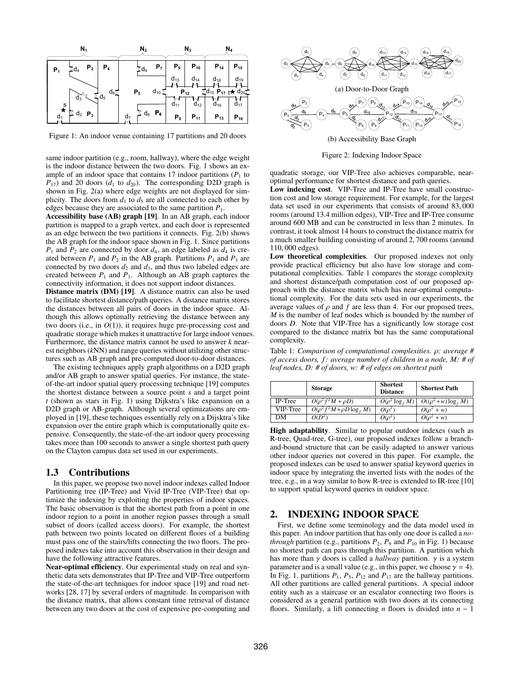

Figure 1: An indoor venue containing 17 partitions and 20 doors

same indoor partition (e.g., room, hallway), where the edge weight is the indoor distance between the two doors. Fig. 1 shows an example of an indoor space that contains 17 indoor partitions  $(P_1$  to  $P_{17}$ ) and 20 doors ( $d_1$  to  $d_{20}$ ). The corresponding D2D graph is shown in Fig. 2(a) where edge weights are not displayed for simplicity. The doors from  $d_1$  to  $d_5$  are all connected to each other by edges because they are associated to the same partition *P*1.

Accessibility base (AB) graph [19]. In an AB graph, each indoor partition is mapped to a graph vertex, and each door is represented as an edge between the two partitions it connects. Fig. 2(b) shows the AB graph for the indoor space shown in Fig. 1. Since partitions  $P_1$  and  $P_2$  are connected by door  $d_4$ , an edge labeled as  $d_4$  is created between  $P_1$  and  $P_2$  in the AB graph. Partitions  $P_1$  and  $P_3$  are connected by two doors  $d_2$  and  $d_3$ , and thus two labeled edges are created between  $P_1$  and  $P_3$ . Although an AB graph captures the connectivity information, it does not support indoor distances.

Distance matrix (DM) [19]. A distance matrix can also be used to facilitate shortest distance/path queries. A distance matrix stores the distances between all pairs of doors in the indoor space. Although this allows optimally retrieving the distance between any two doors (i.e., in *O*(1)), it requires huge pre-processing cost and quadratic storage which makes it unattractive for large indoor venues. Furthermore, the distance matrix cannot be used to answer *k* nearest neighbors (*k*NN) and range queries without utilizing other structures such as AB graph and pre-computed door-to-door distances.

The existing techniques apply graph algorithms on a D2D graph and/or AB graph to answer spatial queries. For instance, the stateof-the-art indoor spatial query processing technique [19] computes the shortest distance between a source point *s* and a target point *t* (shown as stars in Fig. 1) using Dijkstra's like expansion on a D2D graph or AB-graph. Although several optimizations are employed in [19], these techniques essentially rely on a Dijsktra's like expansion over the entire graph which is computationally quite expensive. Consequently, the state-of-the-art indoor query processing takes more than 100 seconds to answer a single shortest path query on the Clayton campus data set used in our experiments.

### 1.3 Contributions

In this paper, we propose two novel indoor indexes called Indoor Partitioning tree (IP-Tree) and Vivid IP-Tree (VIP-Tree) that optimize the indexing by exploiting the properties of indoor spaces. The basic observation is that the shortest path from a point in one indoor region to a point in another region passes through a small subset of doors (called access doors). For example, the shortest path between two points located on different floors of a building must pass one of the stairs/lifts connecting the two floors. The proposed indexes take into account this observation in their design and have the following attractive features.

Near-optimal efficiency. Our experimental study on real and synthetic data sets demonstrates that IP-Tree and VIP-Tree outperform the state-of-the-art techniques for indoor space [19] and road networks [28, 17] by several orders of magnitude. In comparison with the distance matrix, that allows constant time retrieval of distance between any two doors at the cost of expensive pre-computing and



Figure 2: Indexing Indoor Space

quadratic storage, our VIP-Tree also achieves comparable, nearoptimal performance for shortest distance and path queries.

Low indexing cost. VIP-Tree and IP-Tree have small construction cost and low storage requirement. For example, for the largest data set used in our experiments that consists of around 83, 000 rooms (around 13.4 million edges), VIP-Tree and IP-Tree consume around 600 MB and can be constructed in less than 2 minutes. In contrast, it took almost 14 hours to construct the distance matrix for a much smaller building consisting of around 2, 700 rooms (around 110, 000 edges).

Low theoretical complexities. Our proposed indexes not only provide practical efficiency but also have low storage and computational complexities. Table 1 compares the storage complexity and shortest distance/path computation cost of our proposed approach with the distance matrix which has near-optimal computational complexity. For the data sets used in our experiments, the average values of  $\rho$  and  $f$  are less than 4. For our proposed trees, *M* is the number of leaf nodes which is bounded by the number of doors *D*. Note that VIP-Tree has a significantly low storage cost compared to the distance matrix but has the same computational complexity.

Table 1: *Comparison of computational complexities.*  $\rho$ *: average* # *of access doors, f: average number of children in a node, M: # of leaf nodes, D: # of doors, w: # of edges on shortest path*

|                | <b>Storage</b>                                 | <b>Shortest</b><br><b>Distance</b> | <b>Shortest Path</b>               |
|----------------|------------------------------------------------|------------------------------------|------------------------------------|
| <b>IP-Tree</b> | $O(\rho^2 f^2 M + \rho D)$                     | $\overline{O}(\rho^2 \log_f M)$    | $\overline{O((\rho^2+w)\log_f M)}$ |
| VIP-Tree       | $\overline{O(\rho^2 f^2 M + \rho D \log_f M)}$ | $O(\rho^2)$                        | $O(\rho^2 + w)$                    |
| DМ             | $O(D^2)$                                       | $O(\rho^2)$                        | $O(\rho^2 + w)$                    |

High adaptability. Similar to popular outdoor indexes (such as R-tree, Quad-tree, G-tree), our proposed indexes follow a branchand-bound structure that can be easily adapted to answer various other indoor queries not covered in this paper. For example, the proposed indexes can be used to answer spatial keyword queries in indoor space by integrating the inverted lists with the nodes of the tree, e.g., in a way similar to how R-tree is extended to IR-tree [10] to support spatial keyword queries in outdoor space.

### 2. INDEXING INDOOR SPACE

First, we define some terminology and the data model used in this paper. An indoor partition that has only one door is called a *nothrough* partition (e.g., partitions  $P_2$ ,  $P_9$  and  $P_{10}$  in Fig. 1) because no shortest path can pass through this partition. A partition which has more than  $\gamma$  doors is called a *hallway* partition.  $\gamma$  is a system parameter and is a small value (e.g., in this paper, we choose  $\gamma = 4$ ). In Fig. 1, partitions  $P_1$ ,  $P_5$ ,  $P_{12}$  and  $P_{17}$  are the hallway partitions. All other partitions are called general partitions. A special indoor entity such as a staircase or an escalator connecting two floors is considered as a general partition with two doors at its connecting floors. Similarly, a lift connecting *n* floors is divided into  $n - 1$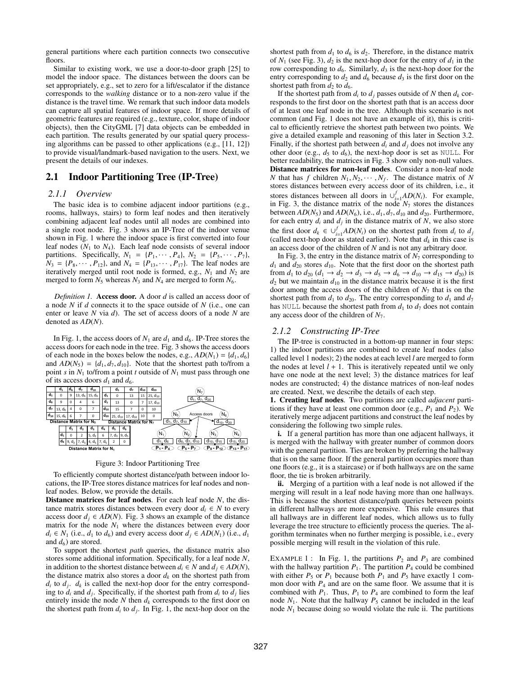general partitions where each partition connects two consecutive floors.

Similar to existing work, we use a door-to-door graph [25] to model the indoor space. The distances between the doors can be set appropriately, e.g., set to zero for a lift/escalator if the distance corresponds to the *walking* distance or to a non-zero value if the distance is the travel time. We remark that such indoor data models can capture all spatial features of indoor space. If more details of geometric features are required (e.g., texture, color, shape of indoor objects), then the CityGML [7] data objects can be embedded in each partition. The results generated by our spatial query processing algorithms can be passed to other applications (e.g., [11, 12]) to provide visual/landmark-based navigation to the users. Next, we present the details of our indexes.

### 2.1 Indoor Partitioning Tree (IP-Tree)

### *2.1.1 Overview*

The basic idea is to combine adjacent indoor partitions (e.g., rooms, hallways, stairs) to form leaf nodes and then iteratively combining adjacent leaf nodes until all nodes are combined into a single root node. Fig. 3 shows an IP-Tree of the indoor venue shown in Fig. 1 where the indoor space is first converted into four leaf nodes  $(N_1$  to  $N_4)$ . Each leaf node consists of several indoor partitions. Specifically,  $N_1 = \{P_1, \dots, P_4\}, N_2 = \{P_5, \dots, P_7\},$  $N_3 = \{P_8, \dots, P_{12}\}\$ , and  $N_4 = \{P_{13}, \dots, P_{17}\}\$ . The leaf nodes are iteratively merged until root node is formed, e.g.,  $N_1$  and  $N_2$  are merged to form  $N_5$  whereas  $N_3$  and  $N_4$  are merged to form  $N_6$ .

*Definition 1.* Access door. A door *d* is called an access door of a node *N* if *d* connects it to the space outside of *N* (i.e., one can enter or leave *N* via *d*). The set of access doors of a node *N* are denoted as *AD*(*N*).

In Fig. 1, the access doors of  $N_1$  are  $d_1$  and  $d_6$ . IP-Tree stores the access doors for each node in the tree. Fig. 3 shows the access doors of each node in the boxes below the nodes, e.g.,  $AD(N_1) = \{d_1, d_6\}$ and  $AD(N_5) = \{d_1, d_7, d_{10}\}.$  Note that the shortest path to/from a point *s* in *N*<sup>1</sup> to/from a point *t* outside of *N*<sup>1</sup> must pass through one of its access doors  $d_1$  and  $d_6$ .



Figure 3: Indoor Partitioning Tree

To efficiently compute shortest distance/path between indoor locations, the IP-Tree stores distance matrices for leaf nodes and nonleaf nodes. Below, we provide the details.

Distance matrices for leaf nodes. For each leaf node *N*, the distance matrix stores distances between every door  $d_i \in N$  to every access door  $d_i \in AD(N)$ . Fig. 3 shows an example of the distance matrix for the node  $N_1$  where the distances between every door  $d_i \in N_1$  (i.e.,  $d_1$  to  $d_6$ ) and every access door  $d_i \in AD(N_1)$  (i.e.,  $d_1$ ) and  $d_6$ ) are stored.

To support the shortest *path* queries, the distance matrix also stores some additional information. Specifically, for a leaf node *N*, in addition to the shortest distance between  $d_i \in N$  and  $d_j \in AD(N)$ , the distance matrix also stores a door  $d_k$  on the shortest path from  $d_i$  to  $d_j$ .  $d_k$  is called the next-hop door for the entry corresponding to  $d_i$  and  $d_j$ . Specifically, if the shortest path from  $d_i$  to  $d_j$  lies entirely inside the node  $N$  then  $d_k$  corresponds to the first door on the shortest path from  $d_i$  to  $d_j$ . In Fig. 1, the next-hop door on the shortest path from  $d_1$  to  $d_6$  is  $d_2$ . Therefore, in the distance matrix of  $N_1$  (see Fig. 3),  $d_2$  is the next-hop door for the entry of  $d_1$  in the row corresponding to  $d_6$ . Similarly,  $d_3$  is the next-hop door for the entry corresponding to  $d_2$  and  $d_6$  because  $d_3$  is the first door on the shortest path from  $d_2$  to  $d_6$ .

If the shortest path from  $d_i$  to  $d_j$  passes outside of *N* then  $d_k$  corresponds to the first door on the shortest path that is an access door of at least one leaf node in the tree. Although this scenario is not common (and Fig. 1 does not have an example of it), this is critical to efficiently retrieve the shortest path between two points. We give a detailed example and reasoning of this later in Section 3.2. Finally, if the shortest path between  $d_i$  and  $d_j$  does not involve any other door (e.g.,  $d_5$  to  $d_6$ ), the next-hop door is set as NULL. For better readability, the matrices in Fig. 3 show only non-null values. Distance matrices for non-leaf nodes. Consider a non-leaf node *N* that has *f* children  $N_1, N_2, \cdots, N_f$ . The distance matrix of *N* stores distances between every access door of its children, i.e., it stores distances between all doors in  $\bigcup_{i=1}^{f} AD(N_i)$ . For example, in Fig. 3, the distance matrix of the node  $N<sub>7</sub>$  stores the distances between  $AD(N_5)$  and  $AD(N_6)$ , i.e.,  $d_1$ ,  $d_7$ ,  $d_{10}$  and  $d_{20}$ . Furthermore, for each entry  $d_i$  and  $d_j$  in the distance matrix of *N*, we also store the first door  $d_k \in \bigcup_{i=1}^f AD(N_i)$  on the shortest path from  $d_i$  to  $d_j$ (called next-hop door as stated earlier). Note that  $d_k$  in this case is an access door of the children of *N* and is not any arbitrary door.

In Fig. 3, the entry in the distance matrix of  $N<sub>7</sub>$  corresponding to  $d_1$  and  $d_{20}$  stores  $d_{10}$ . Note that the first door on the shortest path from  $d_1$  to  $d_{20}$  ( $d_1 \rightarrow d_2 \rightarrow d_3 \rightarrow d_5 \rightarrow d_6 \rightarrow d_{10} \rightarrow d_{15} \rightarrow d_{20}$ ) is  $d_2$  but we maintain  $d_{10}$  in the distance matrix because it is the first door among the access doors of the children of  $N_7$  that is on the shortest path from  $d_1$  to  $d_{20}$ . The entry corresponding to  $d_1$  and  $d_7$ has NULL because the shortest path from  $d_1$  to  $d_7$  does not contain any access door of the children of *N*7.

### *2.1.2 Constructing IP-Tree*

The IP-tree is constructed in a bottom-up manner in four steps: 1) the indoor partitions are combined to create leaf nodes (also called level 1 nodes); 2) the nodes at each level *l* are merged to form the nodes at level  $l + 1$ . This is iteratively repeated until we only have one node at the next level; 3) the distance matrices for leaf nodes are constructed; 4) the distance matrices of non-leaf nodes are created. Next, we describe the details of each step.

1. Creating leaf nodes. Two partitions are called *adjacent* partitions if they have at least one common door (e.g.,  $P_1$  and  $P_2$ ). We iteratively merge adjacent partitions and construct the leaf nodes by considering the following two simple rules.

i. If a general partition has more than one adjacent hallways, it is merged with the hallway with greater number of common doors with the general partition. Ties are broken by preferring the hallway that is on the same floor. If the general partition occupies more than one floors (e.g., it is a staircase) or if both hallways are on the same floor, the tie is broken arbitrarily.

ii. Merging of a partition with a leaf node is not allowed if the merging will result in a leaf node having more than one hallways. This is because the shortest distance/path queries between points in different hallways are more expensive. This rule ensures that all hallways are in different leaf nodes, which allows us to fully leverage the tree structure to efficiently process the queries. The algorithm terminates when no further merging is possible, i.e., every possible merging will result in the violation of this rule.

EXAMPLE 1 : In Fig. 1, the partitions  $P_2$  and  $P_3$  are combined with the hallway partition  $P_1$ . The partition  $P_4$  could be combined with either  $P_5$  or  $P_1$  because both  $P_1$  and  $P_5$  have exactly 1 common door with  $P_4$  and are on the same floor. We assume that it is combined with  $P_1$ . Thus,  $P_1$  to  $P_4$  are combined to form the leaf node  $N_1$ . Note that the hallway  $P_5$  cannot be included in the leaf node *N*<sup>1</sup> because doing so would violate the rule ii. The partitions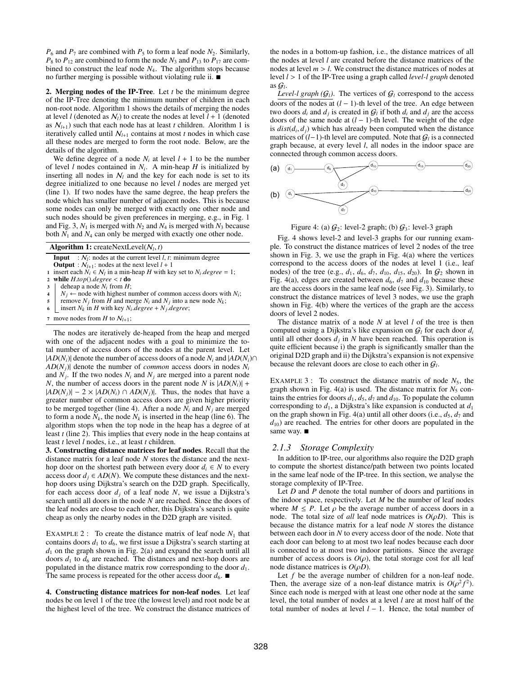$P_6$  and  $P_7$  are combined with  $P_5$  to form a leaf node  $N_2$ . Similarly,  $P_8$  to  $P_{12}$  are combined to form the node  $N_3$  and  $P_{13}$  to  $P_{17}$  are combined to construct the leaf node *N*4. The algorithm stops because no further merging is possible without violating rule ii.  $\blacksquare$ 

2. Merging nodes of the IP-Tree. Let *t* be the minimum degree of the IP-Tree denoting the minimum number of children in each non-root node. Algorithm 1 shows the details of merging the nodes at level *l* (denoted as  $N_l$ ) to create the nodes at level  $l + 1$  (denoted as  $N_{l+1}$ ) such that each node has at least *t* children. Alorithm 1 is iteratively called until  $N_{l+1}$  contains at most *t* nodes in which case all these nodes are merged to form the root node. Below, are the details of the algorithm.

We define degree of a node  $N_i$  at level  $l + 1$  to be the number of level  $l$  nodes contained in  $N_i$ . A min-heap  $H$  is initialized by inserting all nodes in  $N_l$  and the key for each node is set to its degree initialized to one because no level *l* nodes are merged yet (line 1). If two nodes have the same degree, the heap prefers the node which has smaller number of adjacent nodes. This is because some nodes can only be merged with exactly one other node and such nodes should be given preferences in merging, e.g., in Fig. 1 and Fig. 3,  $N_1$  is merged with  $N_2$  and  $N_4$  is merged with  $N_3$  because both  $N_1$  and  $N_4$  can only be merged with exactly one other node.

| <b>Algorithm 1:</b> createNextLevel( $N_l$ , t) |  |
|-------------------------------------------------|--|
|                                                 |  |

- **Input** :  $N_l$ : nodes at the current level *l*, *t*: minimum degree
- **Output** :  $N_{l+1}$ : nodes at the next level  $l + 1$
- 1 insert each  $N_i \in N_l$  in a min-heap *H* with key set to  $N_i \cdot degree = 1$ ;<br>2 while  $H \cdot top() \cdot degree < t$  do <sup>2</sup> while *H*.*top*().*degree* < *t* do
- 
- $\begin{array}{c} 3 \\ 4 \end{array}$  deheap a node  $N_i$  from  $H$ ;<br>  $N_i \leftarrow$  node with highest nu
- 4 *N<sub>j</sub>*  $\leftarrow$  node with highest number of common access doors with *N<sub>i</sub>*;<br>
remove *N<sub>i</sub>* from *H* and merge *N<sub>i</sub>* and *N<sub>i</sub>* into a new node *N<sub>k</sub>*;
- 5 remove  $N_j$  from *H* and merge  $N_i$  and  $N_j$  into a new node  $N_k$ ;<br>6 insert  $N_k$  in *H* with key *N: degree* + *N<sub>i</sub> degree*: insert  $N_k$  in *H* with key  $N_i$ . degree +  $N_j$ . degree;
- 
- 7 move nodes from *H* to  $N_{l+1}$ ;

The nodes are iteratively de-heaped from the heap and merged with one of the adjacent nodes with a goal to minimize the total number of access doors of the nodes at the parent level. Let  $|AD(N_i)|$  denote the number of access doors of a node  $N_i$  and  $|AD(N_i)\cap$  $AD(N_i)$  denote the number of *common* access doors in nodes  $N_i$ and  $N_i$ . If the two nodes  $N_i$  and  $N_j$  are merged into a parent node *N*, the number of access doors in the parent node *N* is  $|AD(N_i)| +$  $|AD(N_i)| - 2 \times |AD(N_i) \cap AD(N_i)|$ . Thus, the nodes that have a greater number of common access doors are given higher priority to be merged together (line 4). After a node  $N_i$  and  $N_j$  are merged to form a node  $N_k$ , the node  $N_k$  is inserted in the heap (line 6). The algorithm stops when the top node in the heap has a degree of at least *t* (line 2). This implies that every node in the heap contains at least *t* level *l* nodes, i.e., at least *t* children.

3. Constructing distance matrices for leaf nodes. Recall that the distance matrix for a leaf node *N* stores the distance and the nexthop door on the shortest path between every door  $d_i \in N$  to every access door  $d_i \in AD(N)$ . We compute these distances and the nexthop doors using Dijkstra's search on the D2D graph. Specifically, for each access door  $d_i$  of a leaf node N, we issue a Dijkstra's search until all doors in the node *N* are reached. Since the doors of the leaf nodes are close to each other, this Dijkstra's search is quite cheap as only the nearby nodes in the D2D graph are visited.

EXAMPLE 2 : To create the distance matrix of leaf node  $N_1$  that contains doors  $d_1$  to  $d_6$ , we first issue a Dijkstra's search starting at  $d_1$  on the graph shown in Fig. 2(a) and expand the search until all doors  $d_1$  to  $d_6$  are reached. The distances and next-hop doors are populated in the distance matrix row corresponding to the door *d*1. The same process is repeated for the other access door  $d_6$ .

4. Constructing distance matrices for non-leaf nodes. Let leaf nodes be on level 1 of the tree (the lowest level) and root node be at the highest level of the tree. We construct the distance matrices of the nodes in a bottom-up fashion, i.e., the distance matrices of all the nodes at level *l* are created before the distance matrices of the nodes at level *m* > *l*. We construct the distance matrices of nodes at level *l* > 1 of the IP-Tree using a graph called *level-l graph* denoted as  $\mathcal{G}_l$ .

*Level-l graph*  $(G_l)$ . The vertices of  $G_l$  correspond to the access doors of the nodes at  $(l - 1)$ -th level of the tree. An edge between two doors  $d_i$  and  $d_j$  is created in  $G_l$  if both  $d_i$  and  $d_j$  are the access doors of the same node at  $(l - 1)$ -th level. The weight of the edge is  $dist(d_i, d_j)$  which has already been computed when the distance matrices of  $(l-1)$ -th level are computed. Note that  $G_l$  is a connected graph because, at every level *l*, all nodes in the indoor space are connected through common access doors.



Figure 4: (a)  $G_2$ : level-2 graph; (b)  $G_3$ : level-3 graph

Fig. 4 shows level-2 and level-3 graphs for our running example. To construct the distance matrices of level 2 nodes of the tree shown in Fig. 3, we use the graph in Fig. 4(a) where the vertices correspond to the access doors of the nodes at level 1 (i.e., leaf nodes) of the tree (e.g.,  $d_1$ ,  $d_6$ ,  $d_7$ ,  $d_{10}$ ,  $d_{15}$ ,  $d_{20}$ ). In  $\mathcal{G}_2$  shown in Fig. 4(a), edges are created between  $d_6$ ,  $d_7$  and  $d_{10}$  because these are the access doors in the same leaf node (see Fig. 3). Similarly, to construct the distance matrices of level 3 nodes, we use the graph shown in Fig. 4(b) where the vertices of the graph are the access doors of level 2 nodes.

The distance matrix of a node *N* at level *l* of the tree is then computed using a Dijkstra's like expansion on G*<sup>l</sup>* for each door *di* until all other doors  $d_i$  in N have been reached. This operation is quite efficient because i) the graph is significantly smaller than the original D2D graph and ii) the Dijkstra's expansion is not expensive because the relevant doors are close to each other in  $G_l$ .

EXAMPLE 3 : To construct the distance matrix of node  $N_5$ , the graph shown in Fig.  $4(a)$  is used. The distance matrix for  $N_5$  contains the entries for doors  $d_1$ ,  $d_5$ ,  $d_7$  and  $d_{10}$ . To populate the column corresponding to  $d_1$ , a Dijkstra's like expansion is conducted at  $d_1$ on the graph shown in Fig. 4(a) until all other doors (i.e.,  $d_5$ ,  $d_7$  and  $d_{10}$ ) are reached. The entries for other doors are populated in the same way.  $\blacksquare$ 

#### *2.1.3 Storage Complexity*

In addition to IP-tree, our algorithms also require the D2D graph to compute the shortest distance/path between two points located in the same leaf node of the IP-tree. In this section, we analyse the storage complexity of IP-Tree.

Let *D* and *P* denote the total number of doors and partitions in the indoor space, respectively. Let *M* be the number of leaf nodes where  $M \leq P$ . Let  $\rho$  be the average number of access doors in a node. The total size of *all* leaf node matrices is  $O(\rho D)$ . This is because the distance matrix for a leaf node *N* stores the distance between each door in *N* to every access door of the node. Note that each door can belong to at most two leaf nodes because each door is connected to at most two indoor partitions. Since the average number of access doors is  $O(\rho)$ , the total storage cost for all leaf node distance matrices is  $O(\rho D)$ .

Let *f* be the average number of children for a non-leaf node. Then, the average size of a non-leaf distance matrix is  $O(\rho^2 f^2)$ . Since each node is merged with at least one other node at the same level, the total number of nodes at a level *l* are at most half of the total number of nodes at level  $l - 1$ . Hence, the total number of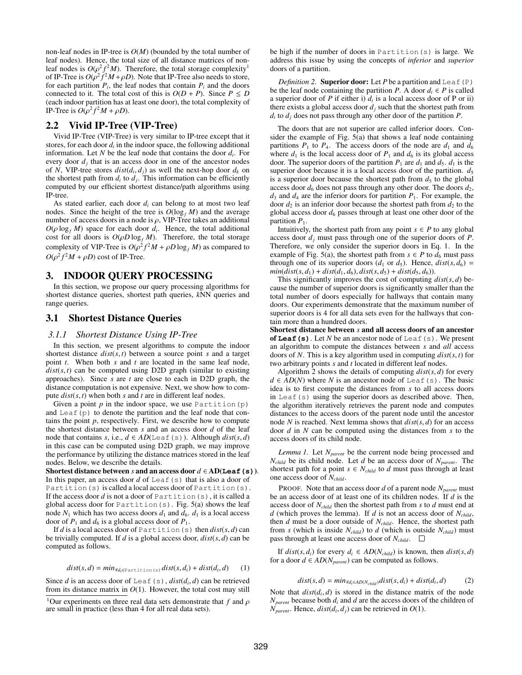non-leaf nodes in IP-tree is *O*(*M*) (bounded by the total number of leaf nodes). Hence, the total size of all distance matrices of nonleaf nodes is  $O(\rho^2 f^2 M)$ . Therefore, the total storage complexity<sup>1</sup> of IP-Tree is  $O(\rho^2 f^2 M + \rho D)$ . Note that IP-Tree also needs to store, for each partition  $P_i$ , the leaf nodes that contain  $P_i$  and the doors connected to it. The total cost of this is  $O(D + P)$ . Since  $P \le D$ (each indoor partition has at least one door), the total complexity of IP-Tree is  $O(\rho^2 f^2 M + \rho D)$ .

### 2.2 Vivid IP-Tree (VIP-Tree)

Vivid IP-Tree (VIP-Tree) is very similar to IP-tree except that it stores, for each door  $d_i$  in the indoor space, the following additional information. Let *N* be the leaf node that contains the door *di*. For every door  $d_i$  that is an access door in one of the ancestor nodes of *N*, VIP-tree stores  $dist(d_i, d_j)$  as well the next-hop door  $d_k$  on the shortest path from  $d_i$  to  $d_j$ . This information can be efficiently computed by our efficient shortest distance/path algorithms using IP-tree.

As stated earlier, each door  $d_i$  can belong to at most two leaf nodes. Since the height of the tree is  $O(\log_f M)$  and the average number of access doors in a node is  $\rho$ , VIP-Tree takes an additional  $O(\rho \log_f M)$  space for each door  $d_i$ . Hence, the total additional cost for all doors is  $O(\rho D \log_f M)$ . Therefore, the total storage complexity of VIP-Tree is  $O(\rho^2 f^2 M + \rho D \log_f M)$  as compared to  $O(\rho^2 f^2 M + \rho D)$  cost of IP-Tree.

### 3. INDOOR QUERY PROCESSING

In this section, we propose our query processing algorithms for shortest distance queries, shortest path queries, *k*NN queries and range queries.

### 3.1 Shortest Distance Queries

#### *3.1.1 Shortest Distance Using IP-Tree*

In this section, we present algorithms to compute the indoor shortest distance *dist*(*s*, *t*) between a source point *s* and a target point *t*. When both *s* and *t* are located in the same leaf node,  $dist(s, t)$  can be computed using D2D graph (similar to existing approaches). Since *s* are *t* are close to each in D2D graph, the distance computation is not expensive. Next, we show how to compute  $dist(s, t)$  when both  $s$  and  $t$  are in different leaf nodes.

Given a point  $p$  in the indoor space, we use Partition  $(p)$ and Leaf(p) to denote the partition and the leaf node that contains the point *p*, respectively. First, we describe how to compute the shortest distance between *s* and an access door *d* of the leaf node that contains *s*, i.e.,  $d \in AD(\text{Leaf}(s))$ . Although  $dist(s, d)$ in this case can be computed using D2D graph, we may improve the performance by utilizing the distance matrices stored in the leaf nodes. Below, we describe the details.

Shortest distance between *s* and an access door  $d \in AD(\text{Leaf}(s))$ . In this paper, an access door  $d$  of Leaf(s) that is also a door of Partition(s) is called a local access door of Partition(s). If the access door *d* is not a door of Partition(s), it is called a global access door for Partition(s). Fig. 5(a) shows the leaf node  $N_1$  which has two access doors  $d_1$  and  $d_6$ .  $d_1$  is a local access door of  $P_1$  and  $d_6$  is a global access door of  $P_1$ .

If *d* is a local access door of Partition (s) then  $dist(s, d)$  can be trivially computed. If *d* is a global access door, *dist*(*s*, *d*) can be computed as follows.

$$
dist(s, d) = min_{\forall d_i \in \text{Partition}(s)} dist(s, d_i) + dist(d_i, d)
$$
 (1)

Since *d* is an access door of Leaf(s),  $dist(d_i, d)$  can be retrieved from its distance matrix in  $O(1)$ . However, the total cost may still be high if the number of doors in Partition(s) is large. We address this issue by using the concepts of *inferior* and *superior* doors of a partition.

*Definition 2.* Superior door: Let *P* be a partition and Leaf(P) be the leaf node containing the partition *P*. A door  $d_i \in P$  is called a superior door of *P* if either i)  $d_i$  is a local access door of *P* or ii) there exists a global access door  $d_i$  such that the shortest path from  $d_i$  to  $d_j$  does not pass through any other door of the partition *P*.

The doors that are not superior are called inferior doors. Consider the example of Fig. 5(a) that shows a leaf node containing partitions  $P_1$  to  $P_4$ . The access doors of the node are  $d_1$  and  $d_6$ where  $d_1$  is the local access door of  $P_1$  and  $d_6$  is its global access door. The superior doors of the partition  $P_1$  are  $d_1$  and  $d_5$ .  $d_1$  is the superior door because it is a local access door of the partition.  $d_5$ is a superior door because the shortest path from  $d_5$  to the global access door  $d_6$  does not pass through any other door. The doors  $d_2$ ,  $d_3$  and  $d_4$  are the inferior doors for partition  $P_1$ . For example, the door  $d_2$  is an inferior door because the shortest path from  $d_2$  to the global access door  $d_6$  passes through at least one other door of the partition  $P_1$ .

Intuitively, the shortest path from any point  $s \in P$  to any global access door *dj* must pass through one of the superior doors of *P*. Therefore, we only consider the superior doors in Eq. 1. In the example of Fig. 5(a), the shortest path from  $s \in P$  to  $d_6$  must pass through one of its superior doors  $(d_1 \text{ or } d_5)$ . Hence,  $dist(s, d_6)$  =  $min(dist(s, d_1) + dist(d_1, d_6), dist(s, d_5) + dist(d_5, d_6)).$ 

This significantly improves the cost of computing  $dist(s, d)$  because the number of superior doors is significantly smaller than the total number of doors especially for hallways that contain many doors. Our experiments demonstrate that the maximum number of superior doors is 4 for all data sets even for the hallways that contain more than a hundred doors.

Shortest distance between *s* and all access doors of an ancestor of **Leaf(s)**. Let *N* be an ancestor node of Leaf(s). We present an algorithm to compute the distances between *s* and *all* access doors of *N*. This is a key algorithm used in computing *dist*(*s*, *t*) for two arbitrary points *s* and *t* located in different leaf nodes.

Algorithm 2 shows the details of computing *dist*(*s*, *d*) for every  $d \in AD(N)$  where *N* is an ancestor node of Leaf(s). The basic idea is to first compute the distances from *s* to all access doors in Leaf(s) using the superior doors as described above. Then, the algorithm iteratively retrieves the parent node and computes distances to the access doors of the parent node until the ancestor node *N* is reached. Next lemma shows that *dist*(*s*, *d*) for an access door *d* in *N* can be computed using the distances from *s* to the access doors of its child node.

*Lemma 1.* Let *Nparent* be the current node being processed and  $N_{child}$  be its child node. Let *d* be an access door of  $N_{parent}$ . The shortest path for a point  $s \in N_{child}$  to *d* must pass through at least one access door of *Nchild*.

PROOF. Note that an access door *d* of a parent node  $N_{parent}$  must be an access door of at least one of its children nodes. If *d* is the access door of *Nchild* then the shortest path from *s* to *d* must end at *d* (which proves the lemma). If *d* is not an access door of *Nchild*, then *d* must be a door outside of *Nchild*. Hence, the shortest path from *s* (which is inside  $N_{child}$ ) to *d* (which is outside  $N_{child}$ ) must pass through at least one access door of  $N_{child}$ .  $\Box$ 

If  $dist(s, d_i)$  for every  $d_i \in AD(N_{child})$  is known, then  $dist(s, d)$ for a door  $d \in AD(N_{parent})$  can be computed as follows.

$$
dist(s, d) = min_{\forall d_i \in AD(N_{child})} dist(s, d_i) + dist(d_i, d)
$$
 (2)

Note that  $dist(d_i, d)$  is stored in the distance matrix of the node  $N_{parent}$  because both  $d_i$  and  $d$  are the access doors of the children of  $N_{parent}$ . Hence,  $dist(d_i, d_j)$  can be retrieved in  $O(1)$ .

<sup>&</sup>lt;sup>1</sup>Our experiments on three real data sets demonstrate that  $f$  and  $\rho$ are small in practice (less than 4 for all real data sets).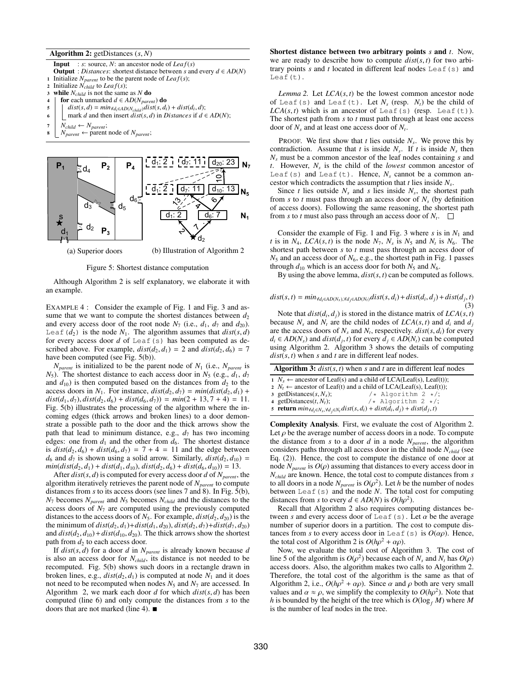Algorithm 2: getDistances (*s*, *N*)

**Input** : *s*: source, *N*: an ancestor node of *Leaf*(*s*) **Output** : *Distances*: shortest distance between *s* and every  $d \in AD(N)$ 1 Initialize  $N_{parent}$  to be the parent node of *Leaf(s)*;

- 
- 2 Initialize  $N_{child}$  to  $Leaf(s);$ <br>3 **while**  $N_{child}$  is not the same **while**  $N_{child}$  is not the same as  $N$  do
- 
- 4 **for** each unmarked  $d \in AD(N_{parent})$  **do**<br>5  $\left|$   $dist(s, d) = min_{\forall d \in AD(N_{multi})} dist(s, d_{i})\right|$
- $\begin{cases}\n\text{d} \text{is} \text{f}(s, d) = \min_{d \in AD(N_{child})} \text{dist}(s, d_i) + \text{dist}(d_i, d); \\
\text{mark } d \text{ and then insert } \text{dist}(s, d) \text{ in } \text{Distances if } d \in \text{Set}\n\end{cases}$ mark *d* and then insert *dist*(*s*, *d*) in *Distances* if  $d \in AD(N)$ ;
- 
- $\begin{array}{c|c}\n7 & N_{child} \leftarrow N_{parent}; \\
8 & N_{parent} \leftarrow parent\n\end{array}$  $N_{parent} \leftarrow$  parent node of  $N_{parent}$ ;







Although Algorithm 2 is self explanatory, we elaborate it with an example.

EXAMPLE 4 : Consider the example of Fig. 1 and Fig. 3 and assume that we want to compute the shortest distances between  $d_2$ and every access door of the root node  $N_7$  (i.e.,  $d_1$ ,  $d_7$  and  $d_{20}$ ). Leaf( $d_2$ ) is the node  $N_1$ . The algorithm assumes that  $dist(s, d)$ for every access door *d* of Leaf(s) has been computed as described above. For example,  $dist(d_2, d_1) = 2$  and  $dist(d_2, d_6) = 7$ have been computed (see Fig. 5(b)).

 $N_{parent}$  is initialized to be the parent node of  $N_1$  (i.e.,  $N_{parent}$  is  $N_5$ ). The shortest distance to each access door in  $N_5$  (e.g.,  $d_1$ ,  $d_7$ ) and  $d_{10}$ ) is then computed based on the distances from  $d_2$  to the access doors in  $N_1$ . For instance,  $dist(d_2, d_7) = min(dist(d_2, d_1) +$  $dist(d_1, d_7), dist(d_2, d_6) + dist(d_6, d_7)) = min(2 + 13, 7 + 4) = 11.$ Fig. 5(b) illustrates the processing of the algorithm where the incoming edges (thick arrows and broken lines) to a door demonstrate a possible path to the door and the thick arrows show the path that lead to minimum distance, e.g.,  $d_7$  has two incoming edges: one from  $d_1$  and the other from  $d_6$ . The shortest distance is  $dist(d_2, d_6) + dist(d_6, d_7) = 7 + 4 = 11$  and the edge between  $d_6$  and  $d_7$  is shown using a solid arrow. Similarly,  $dist(d_2, d_{10}) =$  $min(dist(d_2, d_1) + dist(d_1, d_{10}), dist(d_2, d_6) + dist(d_6, d_{10})) = 13.$ 

After  $dist(s, d)$  is computed for every access door  $d$  of  $N_{parent}$ , the algorithm iteratively retrieves the parent node of  $N_{parent}$  to compute distances from *s* to its access doors (see lines 7 and 8). In Fig. 5(b),  $N_7$  becomes  $N_{parent}$  and  $N_5$  becomes  $N_{child}$  and the distances to the access doors of  $N<sub>7</sub>$  are computed using the previously computed distances to the access doors of  $N_5$ . For example,  $dist(d_2, d_{20})$  is the the minimum of  $dist(d_2, d_1) + dist(d_1, d_{20}), dist(d_2, d_7) + dist(d_7, d_{20})$ and  $dist(d_2, d_{10}) + dist(d_{10}, d_{20})$ . The thick arrows show the shortest path from  $d_2$  to each access door.

If  $dist(s, d)$  for a door *d* in  $N_{parent}$  is already known because *d* is also an access door for  $N_{child}$ , its distance is not needed to be recomputed. Fig. 5(b) shows such doors in a rectangle drawn in broken lines, e.g.,  $dist(d_2, d_1)$  is computed at node  $N_1$  and it does not need to be recomputed when nodes  $N_5$  and  $N_7$  are accessed. In Algorithm 2, we mark each door  $d$  for which  $dist(s, d)$  has been computed (line 6) and only compute the distances from *s* to the doors that are not marked (line 4).  $\blacksquare$ 

Shortest distance between two arbitrary points *s* and *t*. Now, we are ready to describe how to compute  $dist(s, t)$  for two arbitrary points *s* and *t* located in different leaf nodes Leaf(s) and Leaf(t).

*Lemma 2.* Let  $LCA(s, t)$  be the lowest common ancestor node of Leaf(s) and Leaf(t). Let  $N_s$  (resp.  $N_t$ ) be the child of  $LCA(s, t)$  which is an ancestor of Leaf(s) (resp. Leaf(t)). The shortest path from *s* to *t* must path through at least one access door of  $N_s$  and at least one access door of  $N_t$ .

PROOF. We first show that *t* lies outside *Ns*. We prove this by contradiction. Assume that *t* is inside  $N_s$ . If *t* is inside  $N_s$  then *Ns* must be a common ancestor of the leaf nodes containing *s* and *t*. However, *Ns* is the child of the *lowest* common ancestor of Leaf(s) and Leaf(t). Hence,  $N_s$  cannot be a common ancestor which contradicts the assumption that  $t$  lies inside  $N_s$ .

Since *t* lies outside  $N_s$  and *s* lies inside  $N_s$ , the shortest path from  $s$  to  $t$  must pass through an access door of  $N<sub>s</sub>$  (by definition of access doors). Following the same reasoning, the shortest path from *s* to *t* must also pass through an access door of  $N_t$ .  $\Box$ 

Consider the example of Fig. 1 and Fig. 3 where  $s$  is in  $N_1$  and *t* is in  $N_4$ ,  $LCA(s, t)$  is the node  $N_7$ ,  $N_s$  is  $N_5$  and  $N_t$  is  $N_6$ . The shortest path between *s* to *t* must pass through an access door of  $N_5$  and an access door of  $N_6$ , e.g., the shortest path in Fig. 1 passes through  $d_{10}$  which is an access door for both  $N_5$  and  $N_6$ .

By using the above lemma, *dist*(*s*, *t*) can be computed as follows.

$$
dist(s,t) = min_{\forall d_i \in AD(N_s), \forall d_j \in AD(N_t)} dist(s, d_i) + dist(d_i, d_j) + dist(d_j, t)
$$
\n(3)

Note that  $dist(d_i, d_j)$  is stored in the distance matrix of  $LCA(s, t)$ because  $N_s$  and  $N_t$  are the child nodes of  $LCA(s, t)$  and  $d_i$  and  $d_j$ are the access doors of  $N_s$  and  $N_t$ , respectively.  $dist(s, d_i)$  for every  $d_i \in AD(N_s)$  and  $dist(d_i, t)$  for every  $d_i \in AD(N_t)$  can be computed using Algorithm 2. Algorithm 3 shows the details of computing  $dist(s, t)$  when *s* and *t* are in different leaf nodes.

| <b>Algorithm 3:</b> $dist(s, t)$ when s and t are in different leaf nodes |                             |                                                                              |  |  |
|---------------------------------------------------------------------------|-----------------------------|------------------------------------------------------------------------------|--|--|
|                                                                           |                             | $N_s \leftarrow$ ancestor of Leaf(s) and a child of LCA(Leaf(s), Leaf(t));   |  |  |
|                                                                           |                             | $2 N_t \leftarrow$ ancestor of Leaf(t) and a child of LCA(Leaf(s), Leaf(t)); |  |  |
|                                                                           | 3 getDistances $(s, N_s)$ ; | $/*$ Algorithm 2 $*/$ ;                                                      |  |  |
|                                                                           | 4 getDistances $(t, N_t)$ ; | $/*$ Algorithm 2 $*/$ ;                                                      |  |  |
|                                                                           |                             |                                                                              |  |  |

5 **return**  $min_{\forall d_i \in N_s, \forall d_j \in N_t} dist(s, d_i) + dist(d_i, d_j) + dist(d_j, t)$ 

Complexity Analysis. First, we evaluate the cost of Algorithm 2. Let  $\rho$  be the average number of access doors in a node. To compute the distance from  $s$  to a door  $d$  in a node  $N_{parent}$ , the algorithm considers paths through all access door in the child node *Nchild* (see Eq. (2)). Hence, the cost to compute the distance of one door at node  $N_{parent}$  is  $O(\rho)$  assuming that distances to every access door in *Nchild* are known. Hence, the total cost to compute distances from *s* to all doors in a node  $N_{parent}$  is  $O(\rho^2)$ . Let *h* be the number of nodes between Leaf(s) and the node *N*. The total cost for computing distances from *s* to every  $d \in AD(N)$  is  $O(h\rho^2)$ .

Recall that Algorithm 2 also requires computing distances between *s* and every access door of Leaf(s). Let  $\alpha$  be the average number of superior doors in a partition. The cost to compute distances from *s* to every access door in Leaf(s) is  $O(\alpha \rho)$ . Hence, the total cost of Algorithm 2 is  $O(h\rho^2 + \alpha \rho)$ .

Now, we evaluate the total cost of Algorithm 3. The cost of line 5 of the algorithm is  $O(\rho^2)$  because each of  $N_s$  and  $N_t$  has  $O(\rho)$ access doors. Also, the algorithm makes two calls to Algorithm 2. Therefore, the total cost of the algorithm is the same as that of Algorithm 2, i.e.,  $O(h\rho^2 + \alpha \rho)$ . Since  $\alpha$  and  $\rho$  both are very small values and  $\alpha \approx \rho$ , we simplify the complexity to  $O(h\rho^2)$ . Note that *h* is bounded by the height of the tree which is  $O(\log_f M)$  where M is the number of leaf nodes in the tree.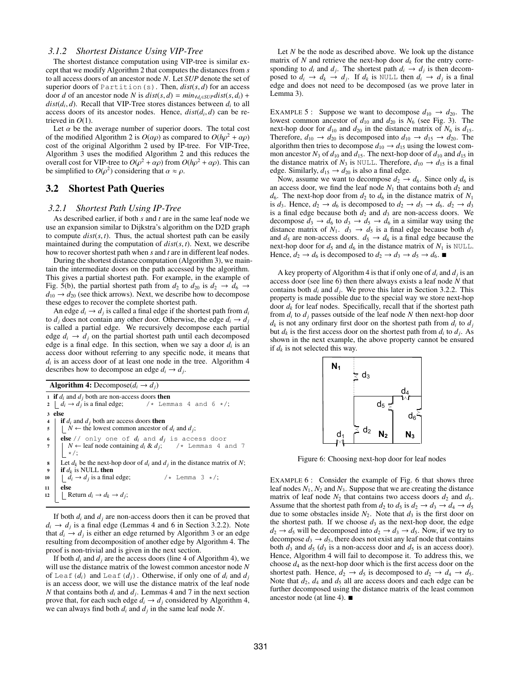### *3.1.2 Shortest Distance Using VIP-Tree*

The shortest distance computation using VIP-tree is similar except that we modify Algorithm 2 that computes the distances from *s* to all access doors of an ancestor node *N*. Let *SUP* denote the set of superior doors of Partition(s). Then, *dist*(*s*, *d*) for an access door *d* of an ancestor node *N* is  $dist(s, d) = min_{\forall d_i \in SUP}dist(s, d_i)$  +  $dist(d_i, d)$ . Recall that VIP-Tree stores distances between  $d_i$  to all access doors of its ancestor nodes. Hence,  $dist(d_i, d)$  can be retrieved in *O*(1).

Let  $\alpha$  be the average number of superior doors. The total cost of the modified Algorithm 2 is  $O(\alpha \rho)$  as compared to  $O(h\rho^2 + \alpha \rho)$ cost of the original Algorithm 2 used by IP-tree. For VIP-Tree, Algorithm 3 uses the modified Algorithm 2 and this reduces the overall cost for VIP-tree to  $O(\rho^2 + \alpha \rho)$  from  $O(h\rho^2 + \alpha \rho)$ . This can be simplified to  $O(\rho^2)$  considering that  $\alpha \approx \rho$ .

### 3.2 Shortest Path Queries

#### *3.2.1 Shortest Path Using IP-Tree*

As described earlier, if both *s* and *t* are in the same leaf node we use an expansion similar to Dijkstra's algorithm on the D2D graph to compute  $dist(s, t)$ . Thus, the actual shortest path can be easily maintained during the computation of *dist*(*s*, *t*). Next, we describe how to recover shortest path when *s* and *t* are in different leaf nodes.

During the shortest distance computation (Algorithm 3), we maintain the intermediate doors on the path accessed by the algorithm. This gives a partial shortest path. For example, in the example of Fig. 5(b), the partial shortest path from  $d_2$  to  $d_{20}$  is  $d_2 \rightarrow d_6 \rightarrow$  $d_{10} \rightarrow d_{20}$  (see thick arrows). Next, we describe how to decompose these edges to recover the complete shortest path.

An edge  $d_i \rightarrow d_j$  is called a final edge if the shortest path from  $d_i$ to  $d_i$  does not contain any other door. Otherwise, the edge  $d_i \rightarrow d_j$ is called a partial edge. We recursively decompose each partial edge  $d_i \rightarrow d_j$  on the partial shortest path until each decomposed edge is a final edge. In this section, when we say a door  $d_i$  is an access door without referring to any specific node, it means that  $d_i$  is an access door of at least one node in the tree. Algorithm  $4$ describes how to decompose an edge  $d_i \rightarrow d_j$ .

Algorithm 4: Decompose $(d_i \rightarrow d_j)$ 

|          | 1 if $d_i$ and $d_j$ both are non-access doors then<br>2 $d_i \rightarrow d_j$ is a final edge; $\prime *$ Lemmas 4 and 6 $*/;$                                                               |
|----------|-----------------------------------------------------------------------------------------------------------------------------------------------------------------------------------------------|
|          | 3 else<br>4   if $d_i$ and $d_j$ both are access doors <b>then</b><br>5   $\mid N \leftarrow$ the lowest common ancestor of $d_i$ and $d_j$ ;                                                 |
|          | 6 <b>else</b> // only one of $d_i$ and $d_j$ is access door<br>7   $N \leftarrow$ <b>leaf node containing</b> $d_i \& d_j$ ; /* Lemmas 4 and 7                                                |
| 10       | 8 Let $d_k$ be the next-hop door of $d_i$ and $d_j$ in the distance matrix of $N$ ;<br>9 if $d_k$ is NULL then<br>$\vert \quad d_i \rightarrow d_j$ is a final edge;<br>/* Lemma $3 \star$ /; |
| 11<br>12 | else<br>$\mathcal{L}$ Return $d_i \rightarrow d_k \rightarrow d_j;$                                                                                                                           |
|          |                                                                                                                                                                                               |

If both  $d_i$  and  $d_j$  are non-access doors then it can be proved that  $d_i \rightarrow d_j$  is a final edge (Lemmas 4 and 6 in Section 3.2.2). Note that  $d_i \rightarrow d_j$  is either an edge returned by Algorithm 3 or an edge resulting from decomposition of another edge by Algorithm 4. The proof is non-trivial and is given in the next section.

If both  $d_i$  and  $d_j$  are the access doors (line 4 of Algorithm 4), we will use the distance matrix of the lowest common ancestor node *N* of Leaf( $d_i$ ) and Leaf( $d_j$ ). Otherwise, if only one of  $d_i$  and  $d_j$ is an access door, we will use the distance matrix of the leaf node *N* that contains both  $d_i$  and  $d_j$ . Lemmas 4 and 7 in the next section prove that, for each such edge  $d_i \rightarrow d_j$  considered by Algorithm 4, we can always find both  $d_i$  and  $d_j$  in the same leaf node N.

Let *N* be the node as described above. We look up the distance matrix of *N* and retrieve the next-hop door  $d_k$  for the entry corresponding to  $d_i$  and  $d_j$ . The shortest path  $d_i \rightarrow d_j$  is then decomposed to  $d_i \rightarrow d_k \rightarrow d_j$ . If  $d_k$  is NULL then  $d_i \rightarrow d_j$  is a final edge and does not need to be decomposed (as we prove later in Lemma 3).

EXAMPLE 5 : Suppose we want to decompose  $d_{10} \rightarrow d_{20}$ . The lowest common ancestor of  $d_{10}$  and  $d_{20}$  is  $N_6$  (see Fig. 3). The next-hop door for  $d_{10}$  and  $d_{20}$  in the distance matrix of  $N_6$  is  $d_{15}$ . Therefore,  $d_{10} \rightarrow d_{20}$  is decomposed into  $d_{10} \rightarrow d_{15} \rightarrow d_{20}$ . The algorithm then tries to decompose  $d_{10} \rightarrow d_{15}$  using the lowest common ancestor  $N_3$  of  $d_{10}$  and  $d_{15}$ . The next-hop door of  $d_{10}$  and  $d_{15}$  in the distance matrix of  $N_3$  is NULL. Therefore,  $d_{10} \rightarrow d_{15}$  is a final edge. Similarly,  $d_{15} \rightarrow d_{20}$  is also a final edge.

Now, assume we want to decompose  $d_2 \rightarrow d_6$ . Since only  $d_6$  is an access door, we find the leaf node  $N_1$  that contains both  $d_2$  and  $d_6$ . The next-hop door from  $d_2$  to  $d_6$  in the distance matrix of  $N_1$ is  $d_3$ . Hence,  $d_2 \rightarrow d_6$  is decomposed to  $d_2 \rightarrow d_3 \rightarrow d_6$ .  $d_2 \rightarrow d_3$ is a final edge because both  $d_2$  and  $d_3$  are non-access doors. We decompose  $d_3 \rightarrow d_6$  to  $d_3 \rightarrow d_5 \rightarrow d_6$  in a similar way using the distance matrix of  $N_1$ .  $d_3 \rightarrow d_5$  is a final edge because both  $d_3$ and  $d_5$  are non-access doors.  $d_5 \rightarrow d_6$  is a final edge because the next-hop door for  $d_5$  and  $d_6$  in the distance matrix of  $N_1$  is NULL. Hence,  $d_2 \rightarrow d_6$  is decomposed to  $d_2 \rightarrow d_3 \rightarrow d_5 \rightarrow d_6$ .

A key property of Algorithm 4 is that if only one of  $d_i$  and  $d_j$  is an access door (see line 6) then there always exists a leaf node *N* that contains both  $d_i$  and  $d_j$ . We prove this later in Section 3.2.2. This property is made possible due to the special way we store next-hop door  $d_k$  for leaf nodes. Specifically, recall that if the shortest path from  $d_i$  to  $d_j$  passes outside of the leaf node N then next-hop door  $d_k$  is not any ordinary first door on the shortest path from  $d_i$  to  $d_j$ but  $d_k$  is the first access door on the shortest path from  $d_i$  to  $d_j$ . As shown in the next example, the above property cannot be ensured if  $d_k$  is not selected this way.



Figure 6: Choosing next-hop door for leaf nodes

EXAMPLE  $6$ : Consider the example of Fig. 6 that shows three leaf nodes  $N_1$ ,  $N_2$  and  $N_3$ . Suppose that we are creating the distance matrix of leaf node  $N_2$  that contains two access doors  $d_2$  and  $d_5$ . Assume that the shortest path from  $d_2$  to  $d_5$  is  $d_2 \rightarrow d_3 \rightarrow d_4 \rightarrow d_5$ due to some obstacles inside  $N_2$ . Note that  $d_3$  is the first door on the shortest path. If we choose  $d_3$  as the next-hop door, the edge  $d_2 \rightarrow d_5$  will be decomposed into  $d_2 \rightarrow d_3 \rightarrow d_5$ . Now, if we try to decompose  $d_3 \rightarrow d_5$ , there does not exist any leaf node that contains both  $d_3$  and  $d_5$  ( $d_3$  is a non-access door and  $d_5$  is an access door). Hence, Algorithm 4 will fail to decompose it. To address this, we choose  $d_4$  as the next-hop door which is the first access door on the shortest path. Hence,  $d_2 \rightarrow d_5$  is decomposed to  $d_2 \rightarrow d_4 \rightarrow d_5$ . Note that  $d_2$ ,  $d_4$  and  $d_5$  all are access doors and each edge can be further decomposed using the distance matrix of the least common ancestor node (at line 4).  $\blacksquare$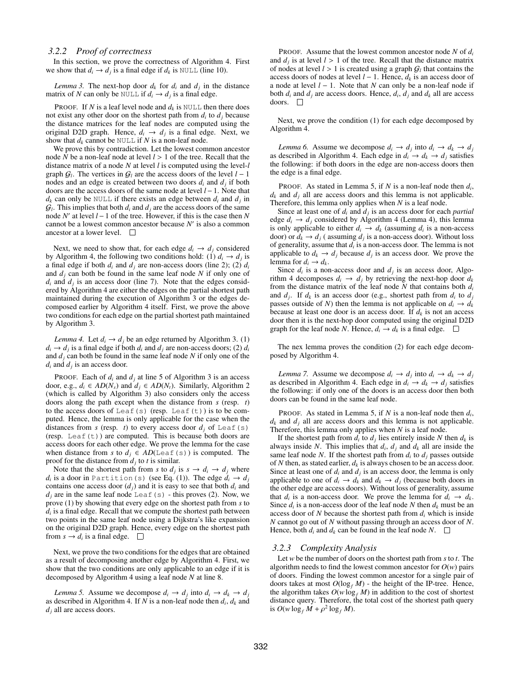#### *3.2.2 Proof of correctness*

In this section, we prove the correctness of Algorithm 4. First we show that  $d_i \rightarrow d_j$  is a final edge if  $d_k$  is NULL (line 10).

*Lemma 3.* The next-hop door  $d_k$  for  $d_i$  and  $d_j$  in the distance matrix of *N* can only be NULL if  $d_i \rightarrow d_j$  is a final edge.

**PROOF.** If *N* is a leaf level node and  $d_k$  is NULL then there does not exist any other door on the shortest path from  $d_i$  to  $d_j$  because the distance matrices for the leaf nodes are computed using the original D2D graph. Hence,  $d_i \rightarrow d_j$  is a final edge. Next, we show that  $d_k$  cannot be NULL if *N* is a non-leaf node.

We prove this by contradiction. Let the lowest common ancestor node *N* be a non-leaf node at level *l* > 1 of the tree. Recall that the distance matrix of a node *N* at level *l* is computed using the level-*l* graph  $G_l$ . The vertices in  $G_l$  are the access doors of the level  $l-1$ nodes and an edge is created between two doors  $d_i$  and  $d_j$  if both doors are the access doors of the same node at level  $l-1$ . Note that  $d_k$  can only be NULL if there exists an edge between  $d_i$  and  $d_j$  in  $G_l$ . This implies that both  $d_i$  and  $d_j$  are the access doors of the same node  $N'$  at level  $l-1$  of the tree. However, if this is the case then  $N$ cannot be a lowest common ancestor because *N'* is also a common ancestor at a lower level.  $\square$ 

Next, we need to show that, for each edge  $d_i \rightarrow d_j$  considered by Algorithm 4, the following two conditions hold: (1)  $d_i \rightarrow d_j$  is a final edge if both  $d_i$  and  $d_j$  are non-access doors (line 2); (2)  $d_i$ and *dj* can both be found in the same leaf node *N* if only one of  $d_i$  and  $d_j$  is an access door (line 7). Note that the edges considered by Algorithm 4 are either the edges on the partial shortest path maintained during the execution of Algorithm 3 or the edges decomposed earlier by Algorithm 4 itself. First, we prove the above two conditions for each edge on the partial shortest path maintained by Algorithm 3.

*Lemma 4.* Let  $d_i \rightarrow d_j$  be an edge returned by Algorithm 3. (1)  $d_i \rightarrow d_j$  is a final edge if both  $d_i$  and  $d_j$  are non-access doors; (2)  $d_i$ and  $d_j$  can both be found in the same leaf node  $N$  if only one of the  $d_i$  and  $d_j$  is an access door.

**PROOF.** Each of  $d_i$  and  $d_j$  at line 5 of Algorithm 3 is an access door, e.g.,  $d_i \in AD(N_s)$  and  $d_i \in AD(N_t)$ . Similarly, Algorithm 2 (which is called by Algorithm 3) also considers only the access doors along the path except when the distance from *s* (resp. *t*) to the access doors of Leaf(s) (resp. Leaf(t)) is to be computed. Hence, the lemma is only applicable for the case when the distances from *s* (resp. *t*) to every access door  $d_i$  of Leaf(s) (resp. Leaf(t)) are computed. This is because both doors are access doors for each other edge. We prove the lemma for the case when distance from *s* to  $d_i \in AD(\text{Leaf}(s))$  is computed. The proof for the distance from  $d_i$  to  $t$  is similar.

Note that the shortest path from *s* to  $d_i$  is  $s \rightarrow d_i \rightarrow d_j$  where  $d_i$  is a door in Partition(s) (see Eq. (1)). The edge  $d_i \rightarrow d_j$ contains one access door  $(d<sub>j</sub>)$  and it is easy to see that both  $d<sub>i</sub>$  and  $d_i$  are in the same leaf node Leaf(s) - this proves (2). Now, we prove (1) by showing that every edge on the shortest path from *s* to *di* is a final edge. Recall that we compute the shortest path between two points in the same leaf node using a Dijkstra's like expansion on the original D2D graph. Hence, every edge on the shortest path from  $s \rightarrow d_i$  is a final edge.  $\Box$ 

Next, we prove the two conditions for the edges that are obtained as a result of decomposing another edge by Algorithm 4. First, we show that the two conditions are only applicable to an edge if it is decomposed by Algorithm 4 using a leaf node *N* at line 8.

*Lemma 5.* Assume we decompose  $d_i \rightarrow d_j$  into  $d_i \rightarrow d_k \rightarrow d_j$ as described in Algorithm 4. If  $N$  is a non-leaf node then  $d_i$ ,  $d_k$  and *dj* all are access doors.

PROOF. Assume that the lowest common ancestor node *N* of *di* and  $d_i$  is at level  $l > 1$  of the tree. Recall that the distance matrix of nodes at level  $l > 1$  is created using a graph  $G_l$  that contains the access doors of nodes at level  $l-1$ . Hence,  $d_k$  is an access door of a node at level  $l - 1$ . Note that N can only be a non-leaf node if both  $d_i$  and  $d_j$  are access doors. Hence,  $d_i$ ,  $d_j$  and  $d_k$  all are access doors.  $\square$ 

Next, we prove the condition (1) for each edge decomposed by Algorithm 4.

*Lemma 6.* Assume we decompose  $d_i \rightarrow d_j$  into  $d_i \rightarrow d_k \rightarrow d_j$ as described in Algorithm 4. Each edge in  $d_i \rightarrow d_k \rightarrow d_j$  satisfies the following: if both doors in the edge are non-access doors then the edge is a final edge.

PROOF. As stated in Lemma 5, if *N* is a non-leaf node then *di*,  $d_k$  and  $d_i$  all are access doors and this lemma is not applicable. Therefore, this lemma only applies when *N* is a leaf node.

Since at least one of *di* and *dj* is an access door for each *partial* edge  $d_i \rightarrow d_j$  considered by Algorithm 4 (Lemma 4), this lemma is only applicable to either  $d_i \rightarrow d_k$  (assuming  $d_i$  is a non-access door) or  $d_k \rightarrow d_j$  (assuming  $d_j$  is a non-access door). Without loss of generality, assume that *di* is a non-access door. The lemma is not applicable to  $d_k \to d_j$  because  $d_j$  is an access door. We prove the lemma for  $d_i \rightarrow d_k$ .

Since  $d_i$  is a non-access door and  $d_i$  is an access door, Algorithm 4 decomposes  $d_i \rightarrow d_j$  by retrieving the next-hop door  $d_k$ from the distance matrix of the leaf node *N* that contains both *di* and  $d_j$ . If  $d_k$  is an access door (e.g., shortest path from  $d_i$  to  $d_j$ passes outside of *N*) then the lemma is not applicable on  $d_i \rightarrow d_k$ because at least one door is an access door. If  $d_k$  is not an access door then it is the next-hop door computed using the original D2D graph for the leaf node *N*. Hence,  $d_i \rightarrow d_k$  is a final edge.  $\Box$ 

The nex lemma proves the condition (2) for each edge decomposed by Algorithm 4.

*Lemma 7.* Assume we decompose  $d_i \rightarrow d_j$  into  $d_i \rightarrow d_k \rightarrow d_j$ as described in Algorithm 4. Each edge in  $d_i \rightarrow d_k \rightarrow d_j$  satisfies the following: if only one of the doors is an access door then both doors can be found in the same leaf node.

PROOF. As stated in Lemma 5, if *N* is a non-leaf node then *di*,  $d_k$  and  $d_j$  all are access doors and this lemma is not applicable. Therefore, this lemma only applies when *N* is a leaf node.

If the shortest path from  $d_i$  to  $d_j$  lies entirely inside N then  $d_k$  is always inside *N*. This implies that  $d_i$ ,  $d_j$  and  $d_k$  all are inside the same leaf node *N*. If the shortest path from  $d_i$  to  $d_j$  passes outside of  $N$  then, as stated earlier,  $d_k$  is always chosen to be an access door. Since at least one of  $d_i$  and  $d_j$  is an access door, the lemma is only applicable to one of  $d_i \rightarrow d_k$  and  $d_k \rightarrow d_j$  (because both doors in the other edge are access doors). Without loss of generality, assume that  $d_i$  is a non-access door. We prove the lemma for  $d_i \rightarrow d_k$ . Since  $d_i$  is a non-access door of the leaf node N then  $d_k$  must be an access door of *N* because the shortest path from *di* which is inside *N* cannot go out of *N* without passing through an access door of *N*. Hence, both  $d_i$  and  $d_k$  can be found in the leaf node *N*.  $\Box$ 

#### *3.2.3 Complexity Analysis*

Let *w* be the number of doors on the shortest path from *s* to *t*. The algorithm needs to find the lowest common ancestor for  $O(w)$  pairs of doors. Finding the lowest common ancestor for a single pair of doors takes at most  $O(\log_f M)$  - the height of the IP-tree. Hence, the algorithm takes  $O(w \log_f M)$  in addition to the cost of shortest distance query. Therefore, the total cost of the shortest path query is  $O(w \log_f M + \rho^2 \log_f M)$ .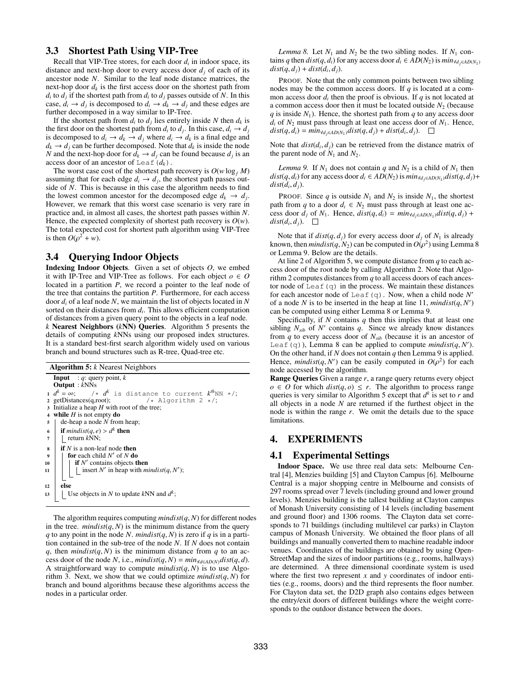### 3.3 Shortest Path Using VIP-Tree

Recall that VIP-Tree stores, for each door *di* in indoor space, its distance and next-hop door to every access door  $d_i$  of each of its ancestor node *N*. Similar to the leaf node distance matrices, the next-hop door  $d_k$  is the first access door on the shortest path from  $d_i$  to  $d_j$  if the shortest path from  $d_i$  to  $d_j$  passes outside of N. In this case,  $d_i \rightarrow d_j$  is decomposed to  $d_i \rightarrow d_k \rightarrow d_j$  and these edges are further decomposed in a way similar to IP-Tree.

If the shortest path from  $d_i$  to  $d_j$  lies entirely inside N then  $d_k$  is the first door on the shortest path from  $d_i$  to  $d_j$ . In this case,  $d_i \rightarrow d_j$ is decomposed to  $d_i \rightarrow d_k \rightarrow d_j$  where  $d_i \rightarrow d_k$  is a final edge and  $d_k \rightarrow d_i$  can be further decomposed. Note that  $d_k$  is inside the node *N* and the next-hop door for  $d_k \to d_j$  can be found because  $d_j$  is an access door of an ancestor of Leaf  $(d_k)$ .

The worst case cost of the shortest path recovery is  $O(w \log_f M)$ assuming that for each edge  $d_i \rightarrow d_j$ , the shortest path passes outside of *N*. This is because in this case the algorithm needs to find the lowest common ancestor for the decomposed edge  $d_k \rightarrow d_i$ . However, we remark that this worst case scenario is very rare in practice and, in almost all cases, the shortest path passes within *N*. Hence, the expected complexity of shortest path recovery is  $O(w)$ . The total expected cost for shortest path algorithm using VIP-Tree is then  $O(\rho^2 + w)$ .

### 3.4 Querying Indoor Objects

Indexing Indoor Objects. Given a set of objects *O*, we embed it with IP-Tree and VIP-Tree as follows. For each object  $o \in O$ located in a partition *P*, we record a pointer to the leaf node of the tree that contains the partition *P*. Furthermore, for each access door *di* of a leaf node *N*, we maintain the list of objects located in *N* sorted on their distances from *di*. This allows efficient computation of distances from a given query point to the objects in a leaf node. *k* Nearest Neighbors (*k*NN) Queries. Algorithm 5 presents the details of computing *k*NNs using our proposed index structures. It is a standard best-first search algorithm widely used on various branch and bound structures such as R-tree, Quad-tree etc.

Algorithm 5: *k* Nearest Neighbors **Input** : *q*: query point, *k* **Output** :  $k$ NNs 1  $d^k = \infty$ ; /\*  $d^k$  is distance to current  $k^{th}NN$  \*/;<br>2 getDistances(q,root); /\* Algorithm 2 \*/; 2 getDistances(q,root);  $/*$  Algorithm 2  $*/$ ;<br>3 Initialize a heap H with root of the tree: Initialize a heap  $H$  with root of the tree; <sup>4</sup> while *H* is not empty do <sup>5</sup> de-heap a node *N* from heap; if  $mindist(q, e) > d^k$  then  $7$  | return  $kNN$ ;  $\mathbf{s}$  **if** *N* is a non-leaf node then 9 for each child  $N'$  of  $N$  do 10 if  $N'$  contains objects to if  $N'$  contains objects then <sup>11</sup> insert *N*0 in heap with *mindist*(*q*, *N*0 ); <sup>12</sup> else 13  $\left| \right|$  Use objects in *N* to update *k*NN and  $d^k$ ;

The algorithm requires computing  $mindist(q, N)$  for different nodes in the tree.  $mindist(q, N)$  is the minimum distance from the query *q* to any point in the node *N*. *mindist*(*q*, *N*) is zero if *q* is in a partition contained in the sub-tree of the node *N*. If *N* does not contain *q*, then *mindist*( $q$ ,  $N$ ) is the minimum distance from  $q$  to an access door of the node *N*, i.e., *mindist*(*q*, *N*) =  $min_{d \in AD(N)}dist(q, d)$ . A straightforward way to compute  $mindist(q, N)$  is to use Algorithm 3. Next, we show that we could optimize  $mindist(q, N)$  for branch and bound algorithms because these algorithms access the nodes in a particular order.

*Lemma 8.* Let  $N_1$  and  $N_2$  be the two sibling nodes. If  $N_1$  contains *q* then *dist*(*q*, *d<sub>i</sub>*) for any access door  $d_i \in AD(N_2)$  is  $\min_{\forall d_i \in AD(N_1)}$  $dist(q, d_i) + dist(d_i, d_i).$ 

PROOF. Note that the only common points between two sibling nodes may be the common access doors. If *q* is located at a common access door  $d_i$  then the proof is obvious. If  $q$  is not located at a common access door then it must be located outside  $N_2$  (because *q* is inside  $N_1$ ). Hence, the shortest path from *q* to any access door  $d_i$  of  $N_2$  must pass through at least one access door of  $N_1$ . Hence,  $dist(q, d_i) = min_{\forall d_i \in AD(N_1)}dist(q, d_j) + dist(d_i, d_j).$ 

Note that  $dist(d_i, d_j)$  can be retrieved from the distance matrix of the parent node of  $N_1$  and  $N_2$ .

*Lemma 9.* If  $N_1$  does not contain  $q$  and  $N_2$  is a child of  $N_1$  then  $dist(q, d_i)$  for any access door  $d_i \in AD(N_2)$  is  $min_{\forall d_i \in AD(N_1)} dist(q, d_i)$ +  $dist(d_i, d_j)$ .

PROOF. Since *q* is outside  $N_1$  and  $N_2$  is inside  $N_1$ , the shortest path from *q* to a door  $d_i \in N_2$  must pass through at least one access door  $d_i$  of  $N_1$ . Hence,  $dist(q, d_i) = min_{\forall d_i \in AD(N_1)} dist(q, d_i) +$  $dist(d_i, d_j)$ .  $\Box$ 

Note that if  $dist(q, d_i)$  for every access door  $d_i$  of  $N_1$  is already known, then *mindist*(*q*, *N*<sub>2</sub>) can be computed in  $O(\rho^2)$  using Lemma 8 or Lemma 9. Below are the details.

At line 2 of Algorithm 5, we compute distance from *q* to each access door of the root node by calling Algorithm 2. Note that Algorithm 2 computes distances from *q* to all access doors of each ancestor node of Leaf  $(q)$  in the process. We maintain these distances for each ancestor node of Leaf(q). Now, when a child node  $N'$ of a node *N* is to be inserted in the heap at line 11, *mindist* $(q, N')$ can be computed using either Lemma 8 or Lemma 9.

Specifically, if *N* contains *q* then this implies that at least one sibling  $N_{sib}$  of  $N'$  contains  $q$ . Since we already know distances from  $q$  to every access door of  $N_{sib}$  (because it is an ancestor of Leaf(q)), Lemma 8 can be applied to compute  $mindist(q, N')$ . On the other hand, if *N* does not contain *q* then Lemma 9 is applied. Hence, *mindist*(*q*, *N'*) can be easily computed in  $O(\rho^2)$  for each node accessed by the algorithm.

Range Queries Given a range *r*, a range query returns every object  $o \in O$  for which  $dist(q, o) \leq r$ . The algorithm to process range queries is very similar to Algorithm 5 except that *d<sup>k</sup>* is set to *r* and all objects in a node *N* are returned if the furthest object in the node is within the range *r*. We omit the details due to the space limitations.

### 4. EXPERIMENTS

#### 4.1 Experimental Settings

Indoor Space. We use three real data sets: Melbourne Central [4], Menzies building [5] and Clayton Campus [6]. Melbourne Central is a major shopping centre in Melbourne and consists of 297 rooms spread over 7 levels (including ground and lower ground levels). Menzies building is the tallest building at Clayton campus of Monash University consisting of 14 levels (including basement and ground floor) and 1306 rooms. The Clayton data set corresponds to 71 buildings (including multilevel car parks) in Clayton campus of Monash University. We obtained the floor plans of all buildings and manually converted them to machine readable indoor venues. Coordinates of the buildings are obtained by using Open-StreetMap and the sizes of indoor partitions (e.g., rooms, hallways) are determined. A three dimensional coordinate system is used where the first two represent *x* and *y* coordinates of indoor entities (e.g., rooms, doors) and the third represents the floor number. For Clayton data set, the D2D graph also contains edges between the entry/exit doors of different buildings where the weight corresponds to the outdoor distance between the doors.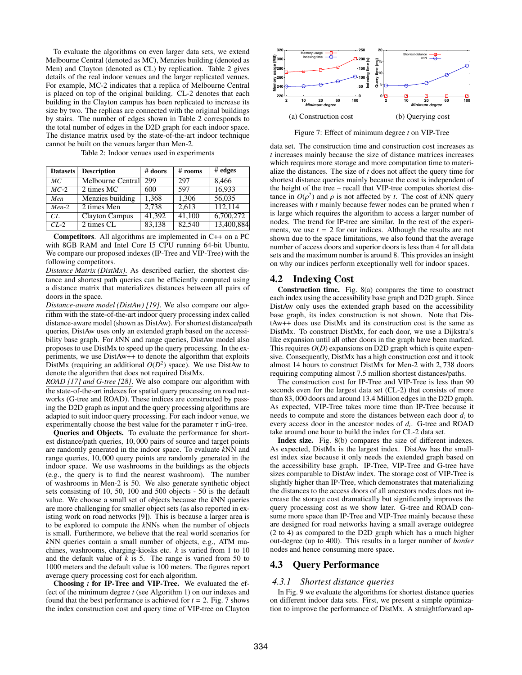To evaluate the algorithms on even larger data sets, we extend Melbourne Central (denoted as MC), Menzies building (denoted as Men) and Clayton (denoted as CL) by replication. Table 2 gives details of the real indoor venues and the larger replicated venues. For example, MC-2 indicates that a replica of Melbourne Central is placed on top of the original building. CL-2 denotes that each building in the Clayton campus has been replicated to increase its size by two. The replicas are connected with the original buildings by stairs. The number of edges shown in Table 2 corresponds to the total number of edges in the D2D graph for each indoor space. The distance matrix used by the state-of-the-art indoor technique cannot be built on the venues larger than Men-2.

Table 2: Indoor venues used in experiments

| <b>Datasets</b> | <b>Description</b>    | # doors | # rooms | $#$ edges  |
|-----------------|-----------------------|---------|---------|------------|
| MC              | Melbourne Central     | 299     | 297     | 8,466      |
| $MC-2$          | 2 times MC            | 600     | 597     | 16.933     |
| Men             | Menzies building      | 1,368   | 1,306   | 56,035     |
| $Men-2$         | 2 times Men           | 2,738   | 2.613   | 112,114    |
| CL.             | <b>Clayton Campus</b> | 41,392  | 41,100  | 6,700,272  |
| $CL-2$          | 2 times CL            | 83,138  | 82,540  | 13,400,884 |

Competitors. All algorithms are implemented in C++ on a PC with 8GB RAM and Intel Core I5 CPU running 64-bit Ubuntu. We compare our proposed indexes (IP-Tree and VIP-Tree) with the following competitors.

*Distance Matrix (DistMx)*. As described earlier, the shortest distance and shortest path queries can be efficiently computed using a distance matrix that materializes distances between all pairs of doors in the space.

*Distance-aware model (DistAw) [19]*. We also compare our algorithm with the state-of-the-art indoor query processing index called distance-aware model (shown as DistAw). For shortest distance/path queries, DistAw uses only an extended graph based on the accessibility base graph. For *k*NN and range queries, DistAw model also proposes to use DistMx to speed up the query processing. In the experiments, we use DistAw++ to denote the algorithm that exploits DistMx (requiring an additional  $O(D^2)$  space). We use DistAw to denote the algorithm that does not required DistMx.

*ROAD [17] and G-tree [28]*. We also compare our algorithm with the state-of-the-art indexes for spatial query processing on road networks (G-tree and ROAD). These indices are constructed by passing the D2D graph as input and the query processing algorithms are adapted to suit indoor query processing. For each indoor venue, we experimentally choose the best value for the parameter  $\tau$  in G-tree.

Queries and Objects. To evaluate the performance for shortest distance/path queries, 10, 000 pairs of source and target points are randomly generated in the indoor space. To evaluate *k*NN and range queries, 10, 000 query points are randomly generated in the indoor space. We use washrooms in the buildings as the objects (e.g., the query is to find the nearest washroom). The number of washrooms in Men-2 is 50. We also generate synthetic object sets consisting of 10, 50, 100 and 500 objects - 50 is the default value. We choose a small set of objects because the *k*NN queries are more challenging for smaller object sets (as also reported in existing work on road networks [9]). This is because a larger area is to be explored to compute the *k*NNs when the number of objects is small. Furthermore, we believe that the real world scenarios for *k*NN queries contain a small number of objects, e.g., ATM machines, washrooms, charging-kiosks etc. *k* is varied from 1 to 10 and the default value of  $k$  is 5. The range is varied from 50 to 1000 meters and the default value is 100 meters. The figures report average query processing cost for each algorithm.

Choosing *t* for IP-Tree and VIP-Tree. We evaluated the effect of the minimum degree *t* (see Algorithm 1) on our indexes and found that the best performance is achieved for  $t = 2$ . Fig. 7 shows the index construction cost and query time of VIP-tree on Clayton



Figure 7: Effect of minimum degree *t* on VIP-Tree

data set. The construction time and construction cost increases as *t* increases mainly because the size of distance matrices increases which requires more storage and more computation time to materialize the distances. The size of *t* does not affect the query time for shortest distance queries mainly because the cost is independent of the height of the tree – recall that VIP-tree computes shortest distance in  $O(\rho^2)$  and  $\rho$  is not affected by *t*. The cost of *kNN* query increases with *t* mainly because fewer nodes can be pruned when *t* is large which requires the algorithm to access a larger number of nodes. The trend for IP-tree are similar. In the rest of the experiments, we use  $t = 2$  for our indices. Although the results are not shown due to the space limitations, we also found that the average number of access doors and superior doors is less than 4 for all data sets and the maximum number is around 8. This provides an insight on why our indices perform exceptionally well for indoor spaces.

#### 4.2 Indexing Cost

Construction time. Fig. 8(a) compares the time to construct each index using the accessibility base graph and D2D graph. Since DistAw only uses the extended graph based on the accessibility base graph, its index construction is not shown. Note that DistAw++ does use DistMx and its construction cost is the same as DistMx. To construct DistMx, for each door, we use a Dijkstra's like expansion until all other doors in the graph have been marked. This requires  $O(D)$  expansions on D2D graph which is quite expensive. Consequently, DistMx has a high construction cost and it took almost 14 hours to construct DistMx for Men-2 with 2, 738 doors requiring computing almost 7.5 million shortest distances/paths.

The construction cost for IP-Tree and VIP-Tree is less than 90 seconds even for the largest data set (CL-2) that consists of more than 83, 000 doors and around 13.4 Million edges in the D2D graph. As expected, VIP-Tree takes more time than IP-Tree because it needs to compute and store the distances between each door *di* to every access door in the ancestor nodes of *di*. G-tree and ROAD take around one hour to build the index for CL-2 data set.

Index size. Fig. 8(b) compares the size of different indexes. As expected, DistMx is the largest index. DistAw has the smallest index size because it only needs the extended graph based on the accessibility base graph. IP-Tree, VIP-Tree and G-tree have sizes comparable to DistAw index. The storage cost of VIP-Tree is slightly higher than IP-Tree, which demonstrates that materializing the distances to the access doors of all ancestors nodes does not increase the storage cost dramatically but significantly improves the query processing cost as we show later. G-tree and ROAD consume more space than IP-Tree and VIP-Tree mainly because these are designed for road networks having a small average outdegree (2 to 4) as compared to the D2D graph which has a much higher out-degree (up to 400). This results in a larger number of *border* nodes and hence consuming more space.

### 4.3 Query Performance

#### *4.3.1 Shortest distance queries*

In Fig. 9 we evaluate the algorithms for shortest distance queries on different indoor data sets. First, we present a simple optimization to improve the performance of DistMx. A straightforward ap-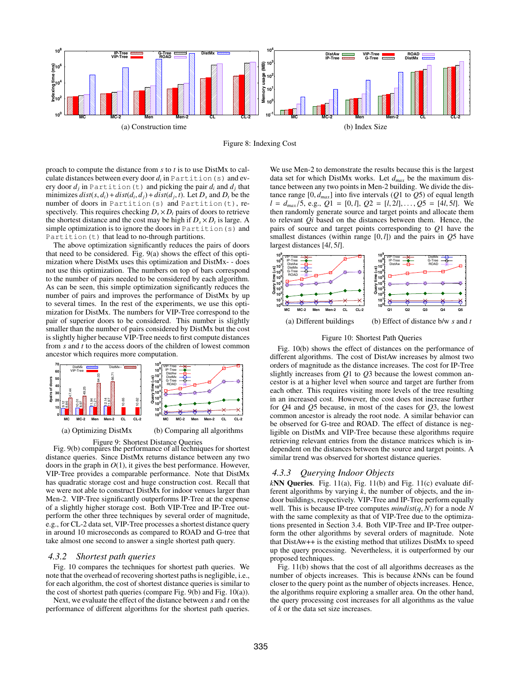



proach to compute the distance from *s* to *t* is to use DistMx to calculate distances between every door *di* in Partition(s) and every door  $d_i$  in Partition (t) and picking the pair  $d_i$  and  $d_j$  that minimizes  $dist(s, d_i) + dist(d_i, d_j) + dist(d_j, t)$ . Let  $D_s$  and  $D_t$  be the number of doors in Partition(s) and Partition(t), respectively. This requires checking  $D_s \times D_t$  pairs of doors to retrieve the shortest distance and the cost may be high if  $D_s \times D_t$  is large. A simple optimization is to ignore the doors in Partition (s) and Partition(t) that lead to no-through partitions.

The above optimization significantly reduces the pairs of doors that need to be considered. Fig. 9(a) shows the effect of this optimization where DistMx uses this optimization and DistMx- - does not use this optimization. The numbers on top of bars correspond to the number of pairs needed to be considered by each algorithm. As can be seen, this simple optimization significantly reduces the number of pairs and improves the performance of DistMx by up to several times. In the rest of the experiments, we use this optimization for DistMx. The numbers for VIP-Tree correspond to the pair of superior doors to be considered. This number is slightly smaller than the number of pairs considered by DistMx but the cost is slightly higher because VIP-Tree needs to first compute distances from *s* and *t* to the access doors of the children of lowest common ancestor which requires more computation.



Figure 9: Shortest Distance Queries Fig. 9(b) compares the performance of all techniques for shortest distance queries. Since DistMx returns distance between any two doors in the graph in *O*(1), it gives the best performance. However, VIP-Tree provides a comparable performance. Note that DistMx has quadratic storage cost and huge construction cost. Recall that we were not able to construct DistMx for indoor venues larger than Men-2. VIP-Tree significantly outperforms IP-Tree at the expense of a slightly higher storage cost. Both VIP-Tree and IP-Tree outperform the other three techniques by several order of magnitude, e.g., for CL-2 data set, VIP-Tree processes a shortest distance query in around 10 microseconds as compared to ROAD and G-tree that take almost one second to answer a single shortest path query.

#### *4.3.2 Shortest path queries*

Fig. 10 compares the techniques for shortest path queries. We note that the overhead of recovering shortest paths is negligible, i.e., for each algorithm, the cost of shortest distance queries is similar to the cost of shortest path queries (compare Fig. 9(b) and Fig. 10(a)).

Next, we evaluate the effect of the distance between *s* and *t* on the performance of different algorithms for the shortest path queries.

We use Men-2 to demonstrate the results because this is the largest data set for which DistMx works. Let *dmax* be the maximum distance between any two points in Men-2 building. We divide the distance range  $[0, d_{max}]$  into five intervals  $(Q1 \text{ to } Q5)$  of equal length  $l = d_{max}/5$ , e.g.,  $Q1 = [0, l]$ ,  $Q2 = [l, 2l]$ ,...,  $Q5 = [4l, 5l]$ . We then randomly generate source and target points and allocate them to relevant *Qi* based on the distances between them. Hence, the pairs of source and target points corresponding to *Q*1 have the smallest distances (within range [0, *l*]) and the pairs in *Q*5 have largest distances [4*l*, 5*l*].



#### Figure 10: Shortest Path Queries

Fig. 10(b) shows the effect of distances on the performance of different algorithms. The cost of DistAw increases by almost two orders of magnitude as the distance increases. The cost for IP-Tree slightly increases from *Q*1 to *Q*3 because the lowest common ancestor is at a higher level when source and target are further from each other. This requires visiting more levels of the tree resulting in an increased cost. However, the cost does not increase further for *Q*4 and *Q*5 because, in most of the cases for *Q*3, the lowest common ancestor is already the root node. A similar behavior can be observed for G-tree and ROAD. The effect of distance is negligible on DistMx and VIP-Tree because these algorithms require retrieving relevant entries from the distance matrices which is independent on the distances between the source and target points. A similar trend was observed for shortest distance queries.

#### *4.3.3 Querying Indoor Objects*

*k*NN Queries. Fig. 11(a), Fig. 11(b) and Fig. 11(c) evaluate different algorithms by varying *k*, the number of objects, and the indoor buildings, respectively. VIP-Tree and IP-Tree perform equally well. This is because IP-tree computes *mindist*(*q*, *N*) for a node *N* with the same complexity as that of VIP-Tree due to the optimizations presented in Section 3.4. Both VIP-Tree and IP-Tree outperform the other algorithms by several orders of magnitude. Note that DistAw++ is the existing method that utilizes DistMx to speed up the query processing. Nevertheless, it is outperformed by our proposed techniques.

Fig. 11(b) shows that the cost of all algorithms decreases as the number of objects increases. This is because *k*NNs can be found closer to the query point as the number of objects increases. Hence, the algorithms require exploring a smaller area. On the other hand, the query processing cost increases for all algorithms as the value of *k* or the data set size increases.